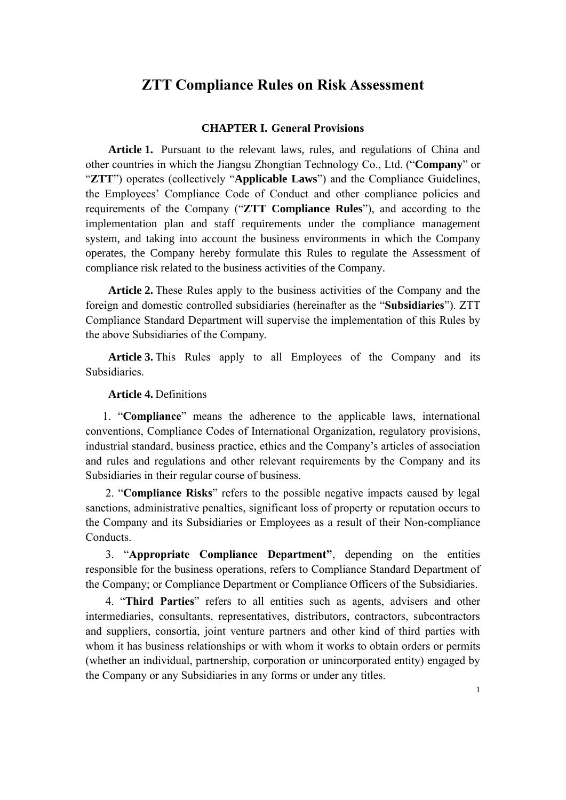# **ZTT Compliance Rules on Risk Assessment**

### **CHAPTER I. General Provisions**

**Article 1.** Pursuant to the relevant laws, rules, and regulations of China and other countries in which the Jiangsu Zhongtian Technology Co., Ltd. ("**Company**" or "**ZTT**") operates (collectively "**Applicable Laws**") and the Compliance Guidelines, the Employees' Compliance Code of Conduct and other compliance policies and requirements of the Company ("**ZTT Compliance Rules**"), and according to the implementation plan and staff requirements under the compliance management system, and taking into account the business environments in which the Company operates, the Company hereby formulate this Rules to regulate the Assessment of compliance risk related to the business activities of the Company.

**Article 2.** These Rules apply to the business activities of the Company and the foreign and domestic controlled subsidiaries (hereinafter as the "**Subsidiaries**"). ZTT Compliance Standard Department will supervise the implementation of this Rules by the above Subsidiaries of the Company.

**Article 3.** This Rules apply to all Employees of the Company and its **Subsidiaries** 

### **Article 4.** Definitions

1. "**Compliance**" means the adherence to the applicable laws, international conventions, Compliance Codes of International Organization, regulatory provisions, industrial standard, business practice, ethics and the Company's articles of association and rules and regulations and other relevant requirements by the Company and its Subsidiaries in their regular course of business.

2. "**Compliance Risks**" refers to the possible negative impacts caused by legal sanctions, administrative penalties, significant loss of property or reputation occurs to the Company and its Subsidiaries or Employees as a result of their Non-compliance Conducts.

3. "**Appropriate Compliance Department"**, depending on the entities responsible for the business operations, refers to Compliance Standard Department of the Company; or Compliance Department or Compliance Officers of the Subsidiaries.

4. "**Third Parties**" refers to all entities such as agents, advisers and other intermediaries, consultants, representatives, distributors, contractors, subcontractors and suppliers, consortia, joint venture partners and other kind of third parties with whom it has business relationships or with whom it works to obtain orders or permits (whether an individual, partnership, corporation or unincorporated entity) engaged by the Company or any Subsidiaries in any forms or under any titles.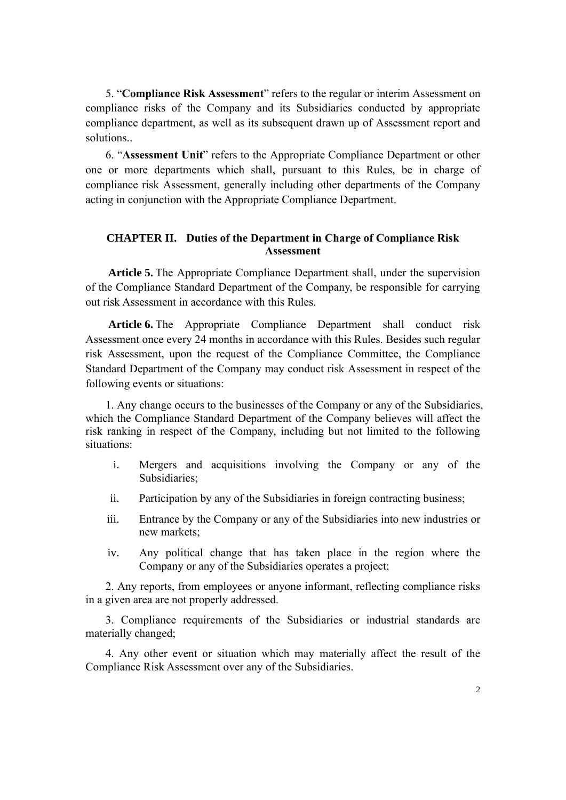5. "**Compliance Risk Assessment**" refers to the regular or interim Assessment on compliance risks of the Company and its Subsidiaries conducted by appropriate compliance department, as well as its subsequent drawn up of Assessment report and solutions..

6. "**Assessment Unit**" refers to the Appropriate Compliance Department or other one or more departments which shall, pursuant to this Rules, be in charge of compliance risk Assessment, generally including other departments of the Company acting in conjunction with the Appropriate Compliance Department.

### **CHAPTER II. Duties of the Department in Charge of Compliance Risk Assessment**

**Article 5.** The Appropriate Compliance Department shall, under the supervision of the Compliance Standard Department of the Company, be responsible for carrying out risk Assessment in accordance with this Rules.

**Article 6.** The Appropriate Compliance Department shall conduct risk Assessment once every 24 months in accordance with this Rules. Besides such regular risk Assessment, upon the request of the Compliance Committee, the Compliance Standard Department of the Company may conduct risk Assessment in respect of the following events or situations:

1. Any change occurs to the businesses of the Company or any of the Subsidiaries, which the Compliance Standard Department of the Company believes will affect the risk ranking in respect of the Company, including but not limited to the following situations:

- i. Mergers and acquisitions involving the Company or any of the Subsidiaries;
- ii. Participation by any of the Subsidiaries in foreign contracting business;
- iii. Entrance by the Company or any of the Subsidiaries into new industries or new markets;
- iv. Any political change that has taken place in the region where the Company or any of the Subsidiaries operates a project;

2. Any reports, from employees or anyone informant, reflecting compliance risks in a given area are not properly addressed.

3. Compliance requirements of the Subsidiaries or industrial standards are materially changed;

4. Any other event or situation which may materially affect the result of the Compliance Risk Assessment over any of the Subsidiaries.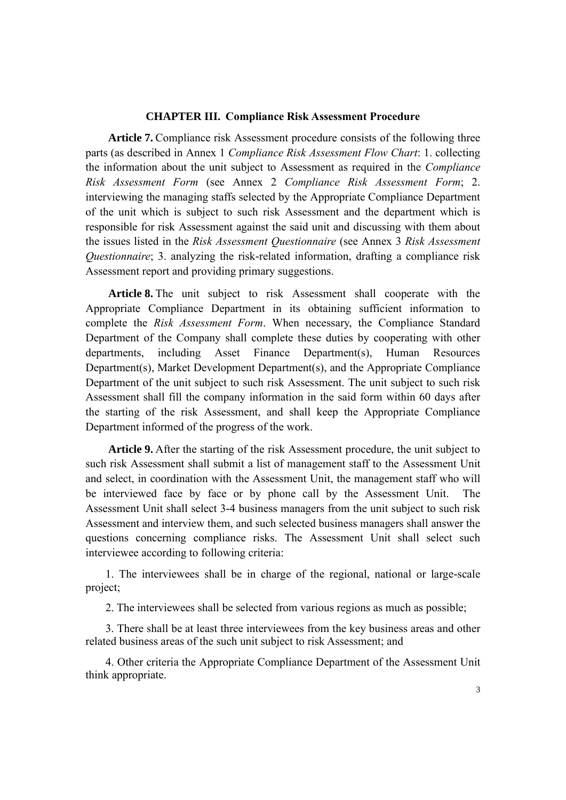#### **CHAPTER III. Compliance Risk Assessment Procedure**

**Article 7.** Compliance risk Assessment procedure consists of the following three parts (as described in Annex 1 *Compliance Risk Assessment Flow Chart*: 1. collecting the information about the unit subject to Assessment as required in the *Compliance Risk Assessment Form* (see Annex 2 *Compliance Risk Assessment Form*; 2. interviewing the managing staffs selected by the Appropriate Compliance Department of the unit which is subject to such risk Assessment and the department which is responsible for risk Assessment against the said unit and discussing with them about the issues listed in the *Risk Assessment Questionnaire* (see Annex 3 *Risk Assessment Questionnaire*; 3. analyzing the risk-related information, drafting a compliance risk Assessment report and providing primary suggestions.

**Article 8.** The unit subject to risk Assessment shall cooperate with the Appropriate Compliance Department in its obtaining sufficient information to complete the *Risk Assessment Form*. When necessary, the Compliance Standard Department of the Company shall complete these duties by cooperating with other departments, including Asset Finance Department(s), Human Resources Department(s), Market Development Department(s), and the Appropriate Compliance Department of the unit subject to such risk Assessment. The unit subject to such risk Assessment shall fill the company information in the said form within 60 days after the starting of the risk Assessment, and shall keep the Appropriate Compliance Department informed of the progress of the work.

**Article 9.** After the starting of the risk Assessment procedure, the unit subject to such risk Assessment shall submit a list of management staff to the Assessment Unit and select, in coordination with the Assessment Unit, the management staff who will be interviewed face by face or by phone call by the Assessment Unit. The Assessment Unit shall select 3-4 business managers from the unit subject to such risk Assessment and interview them, and such selected business managers shall answer the questions concerning compliance risks. The Assessment Unit shall select such interviewee according to following criteria:

1. The interviewees shall be in charge of the regional, national or large-scale project;

2. The interviewees shall be selected from various regions as much as possible;

3. There shall be at least three interviewees from the key business areas and other related business areas of the such unit subject to risk Assessment; and

4. Other criteria the Appropriate Compliance Department of the Assessment Unit think appropriate.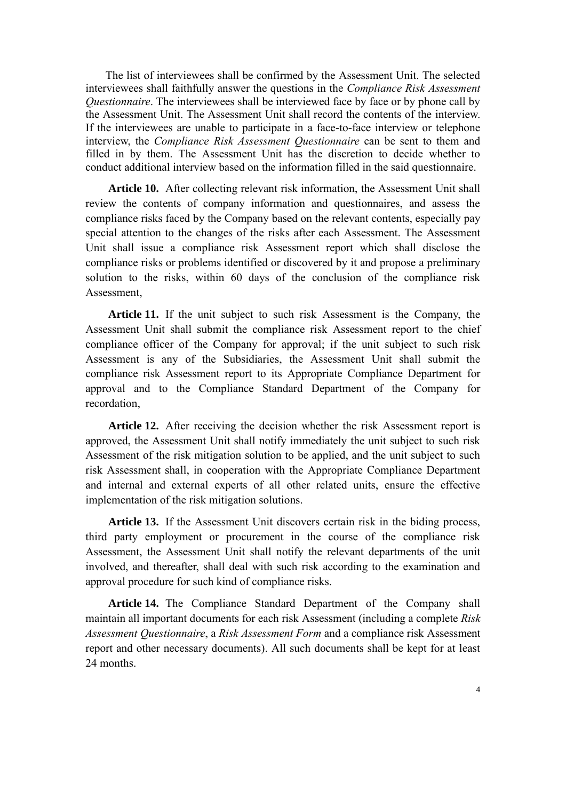The list of interviewees shall be confirmed by the Assessment Unit. The selected interviewees shall faithfully answer the questions in the *Compliance Risk Assessment Questionnaire*. The interviewees shall be interviewed face by face or by phone call by the Assessment Unit. The Assessment Unit shall record the contents of the interview. If the interviewees are unable to participate in a face-to-face interview or telephone interview, the *Compliance Risk Assessment Questionnaire* can be sent to them and filled in by them. The Assessment Unit has the discretion to decide whether to conduct additional interview based on the information filled in the said questionnaire.

**Article 10.** After collecting relevant risk information, the Assessment Unit shall review the contents of company information and questionnaires, and assess the compliance risks faced by the Company based on the relevant contents, especially pay special attention to the changes of the risks after each Assessment. The Assessment Unit shall issue a compliance risk Assessment report which shall disclose the compliance risks or problems identified or discovered by it and propose a preliminary solution to the risks, within 60 days of the conclusion of the compliance risk Assessment,

**Article 11.** If the unit subject to such risk Assessment is the Company, the Assessment Unit shall submit the compliance risk Assessment report to the chief compliance officer of the Company for approval; if the unit subject to such risk Assessment is any of the Subsidiaries, the Assessment Unit shall submit the compliance risk Assessment report to its Appropriate Compliance Department for approval and to the Compliance Standard Department of the Company for recordation,

**Article 12.** After receiving the decision whether the risk Assessment report is approved, the Assessment Unit shall notify immediately the unit subject to such risk Assessment of the risk mitigation solution to be applied, and the unit subject to such risk Assessment shall, in cooperation with the Appropriate Compliance Department and internal and external experts of all other related units, ensure the effective implementation of the risk mitigation solutions.

**Article 13.** If the Assessment Unit discovers certain risk in the biding process, third party employment or procurement in the course of the compliance risk Assessment, the Assessment Unit shall notify the relevant departments of the unit involved, and thereafter, shall deal with such risk according to the examination and approval procedure for such kind of compliance risks.

**Article 14.** The Compliance Standard Department of the Company shall maintain all important documents for each risk Assessment (including a complete *Risk Assessment Questionnaire*, a *Risk Assessment Form* and a compliance risk Assessment report and other necessary documents). All such documents shall be kept for at least 24 months.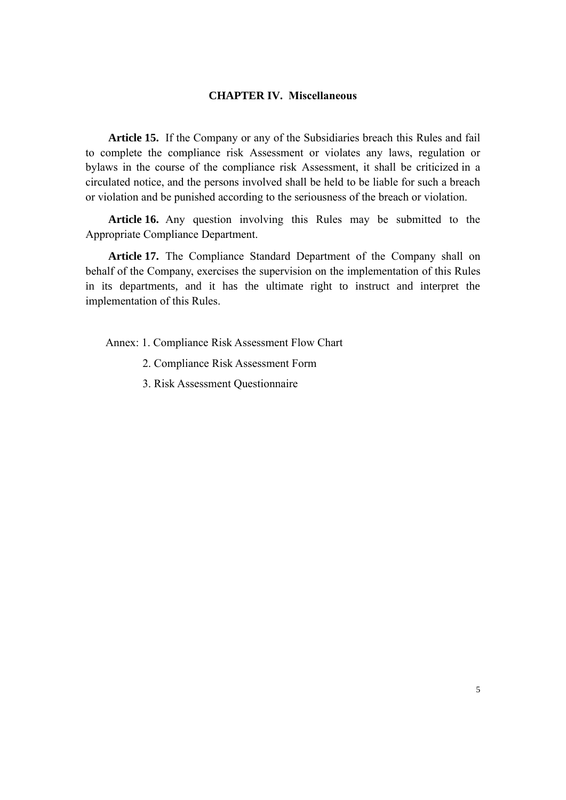### **CHAPTER IV. Miscellaneous**

**Article 15.** If the Company or any of the Subsidiaries breach this Rules and fail to complete the compliance risk Assessment or violates any laws, regulation or bylaws in the course of the compliance risk Assessment, it shall be criticized in a circulated notice, and the persons involved shall be held to be liable for such a breach or violation and be punished according to the seriousness of the breach or violation.

**Article 16.** Any question involving this Rules may be submitted to the Appropriate Compliance Department.

**Article 17.** The Compliance Standard Department of the Company shall on behalf of the Company, exercises the supervision on the implementation of this Rules in its departments, and it has the ultimate right to instruct and interpret the implementation of this Rules.

Annex: 1. Compliance Risk Assessment Flow Chart

- 2. Compliance Risk Assessment Form
- 3. Risk Assessment Questionnaire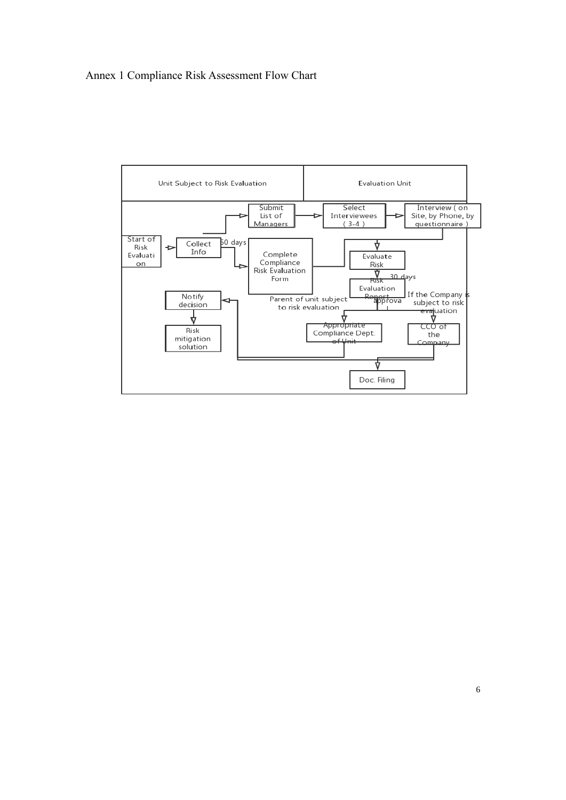## Annex 1 Compliance Risk Assessment Flow Chart

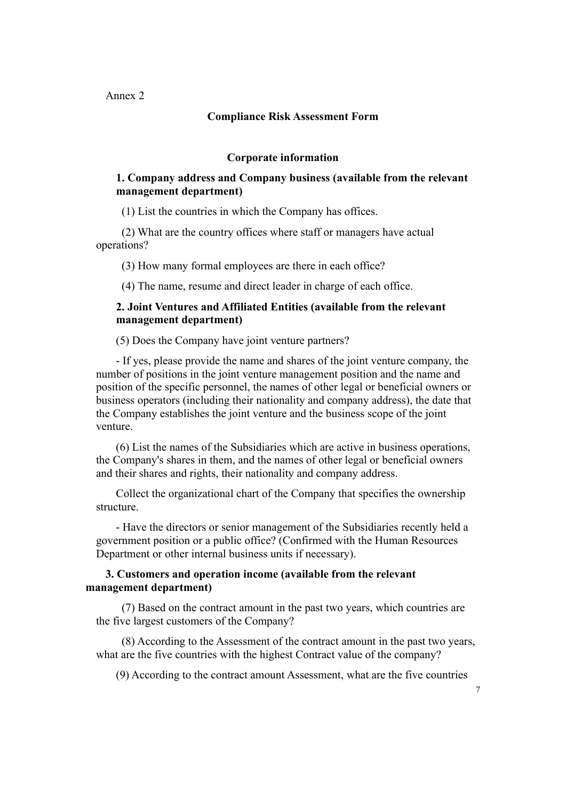Annex 2

### **Compliance Risk Assessment Form**

#### **Corporate information**

### **1. Company address and Company business (available from the relevant management department)**

(1) List the countries in which the Company has offices.

(2) What are the country offices where staff or managers have actual operations?

(3) How many formal employees are there in each office?

(4) The name, resume and direct leader in charge of each office.

### **2. Joint Ventures and Affiliated Entities (available from the relevant management department)**

(5) Does the Company have joint venture partners?

- If yes, please provide the name and shares of the joint venture company, the number of positions in the joint venture management position and the name and position of the specific personnel, the names of other legal or beneficial owners or business operators (including their nationality and company address), the date that the Company establishes the joint venture and the business scope of the joint venture.

(6) List the names of the Subsidiaries which are active in business operations, the Company's shares in them, and the names of other legal or beneficial owners and their shares and rights, their nationality and company address.

Collect the organizational chart of the Company that specifies the ownership structure.

- Have the directors or senior management of the Subsidiaries recently held a government position or a public office? (Confirmed with the Human Resources Department or other internal business units if necessary).

### **3. Customers and operation income (available from the relevant management department)**

(7) Based on the contract amount in the past two years, which countries are the five largest customers of the Company?

(8) According to the Assessment of the contract amount in the past two years, what are the five countries with the highest Contract value of the company?

(9) According to the contract amount Assessment, what are the five countries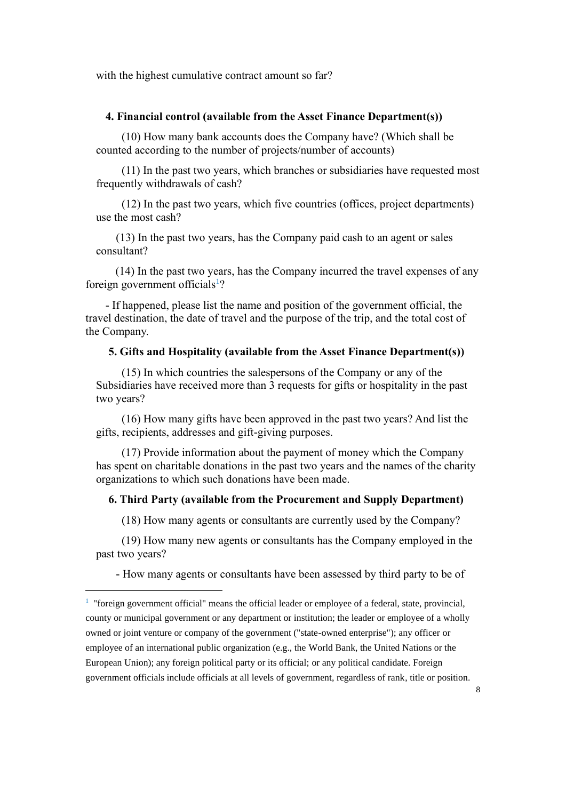with the highest cumulative contract amount so far?

#### **4. Financial control (available from the Asset Finance Department(s))**

(10) How many bank accounts does the Company have? (Which shall be counted according to the number of projects/number of accounts)

(11) In the past two years, which branches or subsidiaries have requested most frequently withdrawals of cash?

(12) In the past two years, which five countries (offices, project departments) use the most cash?

(13) In the past two years, has the Company paid cash to an agent or sales consultant?

(14) In the past two years, has the Company incurred the travel expenses of any foreign government officials<sup>1</sup>?

- If happened, please list the name and position of the government official, the travel destination, the date of travel and the purpose of the trip, and the total cost of the Company.

### **5. Gifts and Hospitality (available from the Asset Finance Department(s))**

(15) In which countries the salespersons of the Company or any of the Subsidiaries have received more than 3 requests for gifts or hospitality in the past two years?

(16) How many gifts have been approved in the past two years? And list the gifts, recipients, addresses and gift-giving purposes.

(17) Provide information about the payment of money which the Company has spent on charitable donations in the past two years and the names of the charity organizations to which such donations have been made.

#### **6. Third Party (available from the Procurement and Supply Department)**

(18) How many agents or consultants are currently used by the Company?

(19) How many new agents or consultants has the Company employed in the past two years?

- How many agents or consultants have been assessed by third party to be of

<sup>&</sup>lt;sup>1</sup> "foreign government official" means the official leader or employee of a federal, state, provincial, county or municipal government or any department or institution; the leader or employee of a wholly owned or joint venture or company of the government ("state-owned enterprise"); any officer or employee of an international public organization (e.g., the World Bank, the United Nations or the European Union); any foreign political party or its official; or any political candidate. Foreign government officials include officials at all levels of government, regardless of rank, title or position.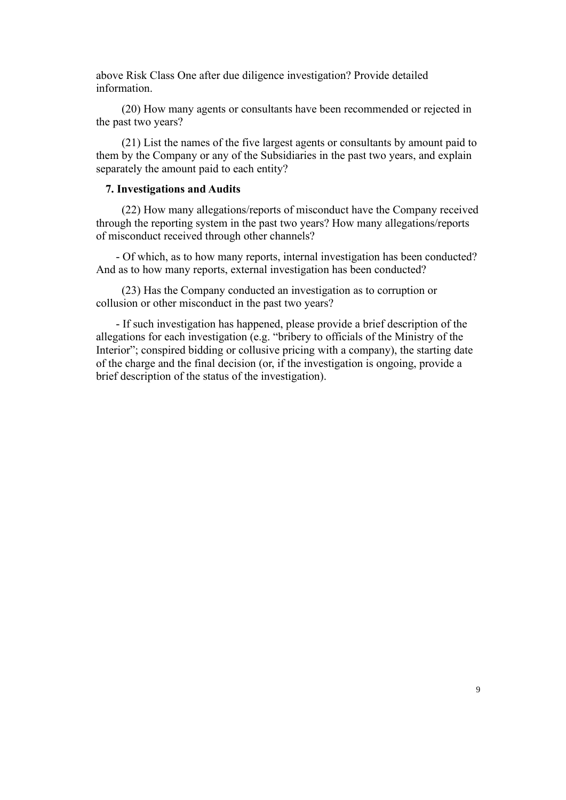above Risk Class One after due diligence investigation? Provide detailed information.

(20) How many agents or consultants have been recommended or rejected in the past two years?

(21) List the names of the five largest agents or consultants by amount paid to them by the Company or any of the Subsidiaries in the past two years, and explain separately the amount paid to each entity?

### **7. Investigations and Audits**

(22) How many allegations/reports of misconduct have the Company received through the reporting system in the past two years? How many allegations/reports of misconduct received through other channels?

- Of which, as to how many reports, internal investigation has been conducted? And as to how many reports, external investigation has been conducted?

(23) Has the Company conducted an investigation as to corruption or collusion or other misconduct in the past two years?

- If such investigation has happened, please provide a brief description of the allegations for each investigation (e.g. "bribery to officials of the Ministry of the Interior"; conspired bidding or collusive pricing with a company), the starting date of the charge and the final decision (or, if the investigation is ongoing, provide a brief description of the status of the investigation).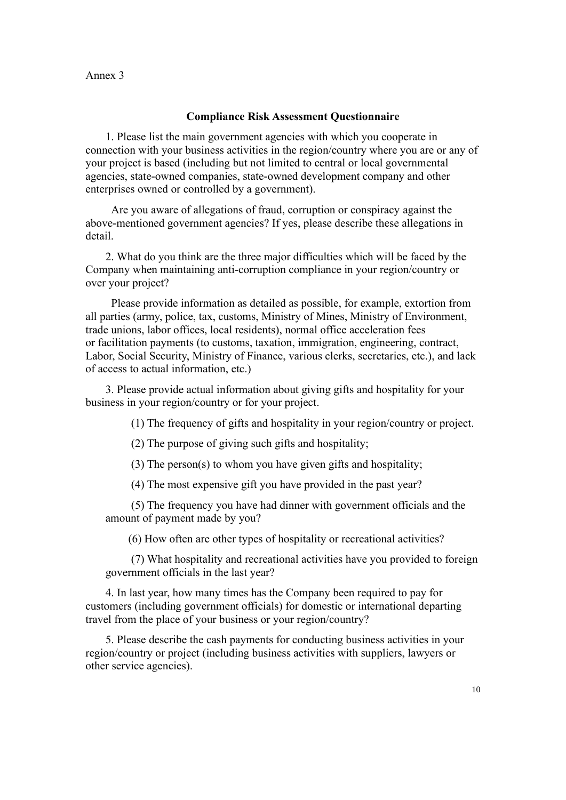### Annex 3

### **Compliance Risk Assessment Questionnaire**

1. Please list the main government agencies with which you cooperate in connection with your business activities in the region/country where you are or any of your project is based (including but not limited to central or local governmental agencies, state-owned companies, state-owned development company and other enterprises owned or controlled by a government).

Are you aware of allegations of fraud, corruption or conspiracy against the above-mentioned government agencies? If yes, please describe these allegations in detail.

2. What do you think are the three major difficulties which will be faced by the Company when maintaining anti-corruption compliance in your region/country or over your project?

Please provide information as detailed as possible, for example, extortion from all parties (army, police, tax, customs, Ministry of Mines, Ministry of Environment, trade unions, labor offices, local residents), normal office acceleration fees or facilitation payments (to customs, taxation, immigration, engineering, contract, Labor, Social Security, Ministry of Finance, various clerks, secretaries, etc.), and lack of access to actual information, etc.)

3. Please provide actual information about giving gifts and hospitality for your business in your region/country or for your project.

(1) The frequency of gifts and hospitality in your region/country or project.

(2) The purpose of giving such gifts and hospitality;

(3) The person(s) to whom you have given gifts and hospitality;

(4) The most expensive gift you have provided in the past year?

(5) The frequency you have had dinner with government officials and the amount of payment made by you?

(6) How often are other types of hospitality or recreational activities?

(7) What hospitality and recreational activities have you provided to foreign government officials in the last year?

4. In last year, how many times has the Company been required to pay for customers (including government officials) for domestic or international departing travel from the place of your business or your region/country?

5. Please describe the cash payments for conducting business activities in your region/country or project (including business activities with suppliers, lawyers or other service agencies).